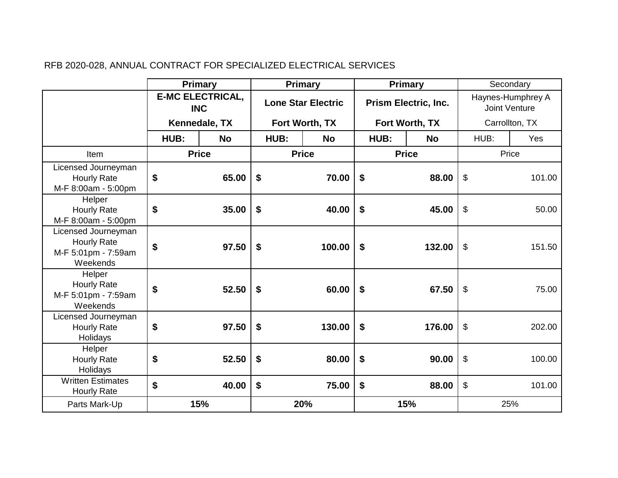|                                                                              | Primary                               |           | Primary                   |           | <b>Primary</b>       |           | Secondary                          |        |  |
|------------------------------------------------------------------------------|---------------------------------------|-----------|---------------------------|-----------|----------------------|-----------|------------------------------------|--------|--|
|                                                                              | <b>E-MC ELECTRICAL,</b><br><b>INC</b> |           | <b>Lone Star Electric</b> |           | Prism Electric, Inc. |           | Haynes-Humphrey A<br>Joint Venture |        |  |
|                                                                              | Kennedale, TX                         |           | Fort Worth, TX            |           | Fort Worth, TX       |           | Carrollton, TX                     |        |  |
|                                                                              | HUB:                                  | <b>No</b> | HUB:                      | <b>No</b> | HUB:                 | <b>No</b> | HUB:                               | Yes    |  |
| Item                                                                         | <b>Price</b>                          |           | <b>Price</b>              |           | <b>Price</b>         |           | Price                              |        |  |
| Licensed Journeyman<br><b>Hourly Rate</b><br>M-F 8:00am - 5:00pm             | \$                                    | 65.00     | \$                        | 70.00     | \$                   | 88.00     | \$                                 | 101.00 |  |
| Helper<br><b>Hourly Rate</b><br>M-F 8:00am - 5:00pm                          | \$                                    | 35.00     | \$                        | 40.00     | \$                   | 45.00     | \$                                 | 50.00  |  |
| Licensed Journeyman<br><b>Hourly Rate</b><br>M-F 5:01pm - 7:59am<br>Weekends | \$                                    | 97.50     | \$                        | 100.00    | \$                   | 132.00    | $\boldsymbol{\mathsf{S}}$          | 151.50 |  |
| Helper<br><b>Hourly Rate</b><br>M-F 5:01pm - 7:59am<br>Weekends              | \$                                    | 52.50     | \$                        | 60.00     | \$                   | 67.50     | $\boldsymbol{\mathsf{S}}$          | 75.00  |  |
| Licensed Journeyman<br><b>Hourly Rate</b><br>Holidays                        | \$                                    | 97.50     | \$                        | 130.00    | \$                   | 176.00    | $\boldsymbol{\mathsf{S}}$          | 202.00 |  |
| Helper<br><b>Hourly Rate</b><br>Holidays                                     | \$                                    | 52.50     | \$                        | 80.00     | \$                   | 90.00     | $\boldsymbol{\mathsf{S}}$          | 100.00 |  |
| <b>Written Estimates</b><br><b>Hourly Rate</b>                               | \$                                    | 40.00     | \$                        | 75.00     | \$                   | 88.00     | \$                                 | 101.00 |  |
| Parts Mark-Up                                                                |                                       | 15%       |                           | 20%       |                      | 15%       |                                    | 25%    |  |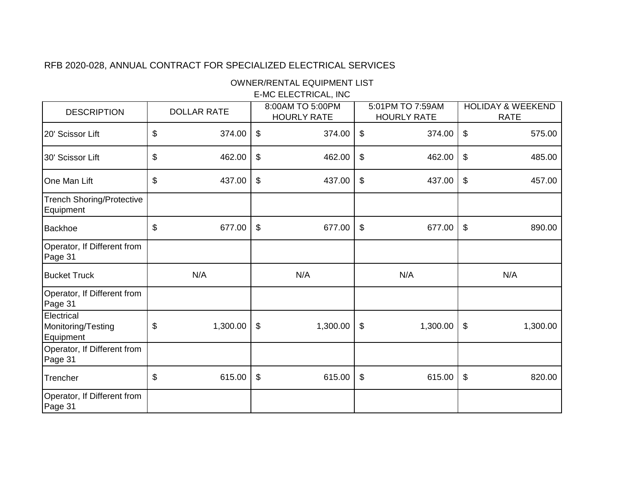OWNER/RENTAL EQUIPMENT LIST

E-MC ELECTRICAL, INC

| <b>DESCRIPTION</b>                            | <b>DOLLAR RATE</b> |          | 8:00AM TO 5:00PM<br><b>HOURLY RATE</b> |          | 5:01PM TO 7:59AM<br><b>HOURLY RATE</b> |          | <b>HOLIDAY &amp; WEEKEND</b><br><b>RATE</b> |          |
|-----------------------------------------------|--------------------|----------|----------------------------------------|----------|----------------------------------------|----------|---------------------------------------------|----------|
| 20' Scissor Lift                              | \$                 | 374.00   | \$                                     | 374.00   | \$                                     | 374.00   | $\boldsymbol{\mathsf{S}}$                   | 575.00   |
| 30' Scissor Lift                              | \$                 | 462.00   | \$                                     | 462.00   | \$                                     | 462.00   | \$                                          | 485.00   |
| <b>One Man Lift</b>                           | \$                 | 437.00   | \$                                     | 437.00   | \$                                     | 437.00   | \$                                          | 457.00   |
| <b>Trench Shoring/Protective</b><br>Equipment |                    |          |                                        |          |                                        |          |                                             |          |
| Backhoe                                       | \$                 | 677.00   | \$                                     | 677.00   | \$                                     | 677.00   | \$                                          | 890.00   |
| Operator, If Different from<br>Page 31        |                    |          |                                        |          |                                        |          |                                             |          |
| <b>Bucket Truck</b>                           |                    | N/A      |                                        | N/A      |                                        | N/A      |                                             | N/A      |
| Operator, If Different from<br>Page 31        |                    |          |                                        |          |                                        |          |                                             |          |
| Electrical<br>Monitoring/Testing<br>Equipment | \$                 | 1,300.00 | $\boldsymbol{\mathsf{\$}}$             | 1,300.00 | \$                                     | 1,300.00 | $\boldsymbol{\mathsf{\$}}$                  | 1,300.00 |
| Operator, If Different from<br>Page 31        |                    |          |                                        |          |                                        |          |                                             |          |
| Trencher                                      | \$                 | 615.00   | \$                                     | 615.00   | \$                                     | 615.00   | \$                                          | 820.00   |
| Operator, If Different from<br>Page 31        |                    |          |                                        |          |                                        |          |                                             |          |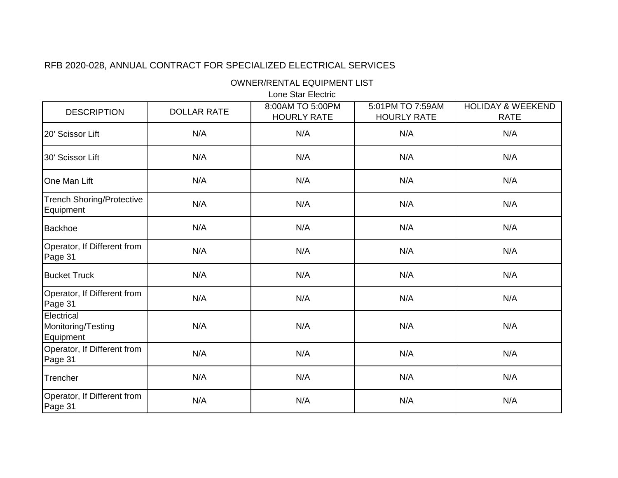OWNER/RENTAL EQUIPMENT LIST

Lone Star Electric

| <b>DESCRIPTION</b>                            | <b>DOLLAR RATE</b> | 8:00AM TO 5:00PM<br><b>HOURLY RATE</b> | 5:01PM TO 7:59AM<br><b>HOURLY RATE</b> | <b>HOLIDAY &amp; WEEKEND</b><br><b>RATE</b> |
|-----------------------------------------------|--------------------|----------------------------------------|----------------------------------------|---------------------------------------------|
| 20' Scissor Lift                              | N/A                | N/A                                    | N/A                                    | N/A                                         |
| 30' Scissor Lift                              | N/A                | N/A                                    | N/A                                    | N/A                                         |
| One Man Lift                                  | N/A                | N/A                                    | N/A                                    | N/A                                         |
| <b>Trench Shoring/Protective</b><br>Equipment | N/A                | N/A                                    | N/A                                    | N/A                                         |
| Backhoe                                       | N/A                | N/A                                    | N/A                                    | N/A                                         |
| Operator, If Different from<br>Page 31        | N/A                | N/A                                    | N/A                                    | N/A                                         |
| <b>Bucket Truck</b>                           | N/A                | N/A                                    | N/A                                    | N/A                                         |
| Operator, If Different from<br>Page 31        | N/A                | N/A                                    | N/A                                    | N/A                                         |
| Electrical<br>Monitoring/Testing<br>Equipment | N/A                | N/A                                    | N/A                                    | N/A                                         |
| Operator, If Different from<br>Page 31        | N/A                | N/A                                    | N/A                                    | N/A                                         |
| Trencher                                      | N/A                | N/A                                    | N/A                                    | N/A                                         |
| Operator, If Different from<br>Page 31        | N/A                | N/A                                    | N/A                                    | N/A                                         |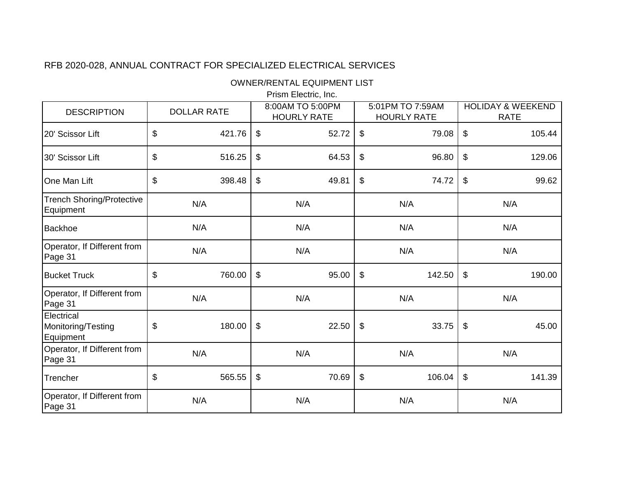OWNER/RENTAL EQUIPMENT LIST

Prism Electric, Inc.

| <b>DESCRIPTION</b>                            | <b>DOLLAR RATE</b> | 8:00AM TO 5:00PM<br><b>HOURLY RATE</b> | 5:01PM TO 7:59AM<br><b>HOURLY RATE</b> | <b>HOLIDAY &amp; WEEKEND</b><br><b>RATE</b> |  |
|-----------------------------------------------|--------------------|----------------------------------------|----------------------------------------|---------------------------------------------|--|
| 20' Scissor Lift                              | \$<br>421.76       | 52.72<br>\$                            | 79.08<br>\$                            | \$<br>105.44                                |  |
| 30' Scissor Lift                              | \$<br>516.25       | \$<br>64.53                            | \$<br>96.80                            | \$<br>129.06                                |  |
| One Man Lift                                  | \$<br>398.48       | \$<br>49.81                            | \$<br>74.72                            | \$<br>99.62                                 |  |
| <b>Trench Shoring/Protective</b><br>Equipment | N/A                | N/A                                    | N/A                                    | N/A                                         |  |
| <b>Backhoe</b>                                | N/A                | N/A                                    | N/A                                    | N/A                                         |  |
| Operator, If Different from<br>Page 31        | N/A                | N/A                                    | N/A                                    | N/A                                         |  |
| <b>Bucket Truck</b>                           | \$<br>760.00       | \$<br>95.00                            | \$<br>142.50                           | 190.00<br>\$                                |  |
| Operator, If Different from<br>Page 31        | N/A                | N/A                                    | N/A                                    | N/A                                         |  |
| Electrical<br>Monitoring/Testing<br>Equipment | \$<br>180.00       | $\frac{1}{2}$<br>22.50                 | $\boldsymbol{\mathsf{S}}$<br>33.75     | $\boldsymbol{\mathsf{S}}$<br>45.00          |  |
| Operator, If Different from<br>Page 31        | N/A                | N/A                                    | N/A                                    | N/A                                         |  |
| Trencher                                      | \$<br>565.55       | \$<br>70.69                            | \$<br>106.04                           | \$<br>141.39                                |  |
| Operator, If Different from<br>Page 31        | N/A                | N/A                                    | N/A                                    | N/A                                         |  |